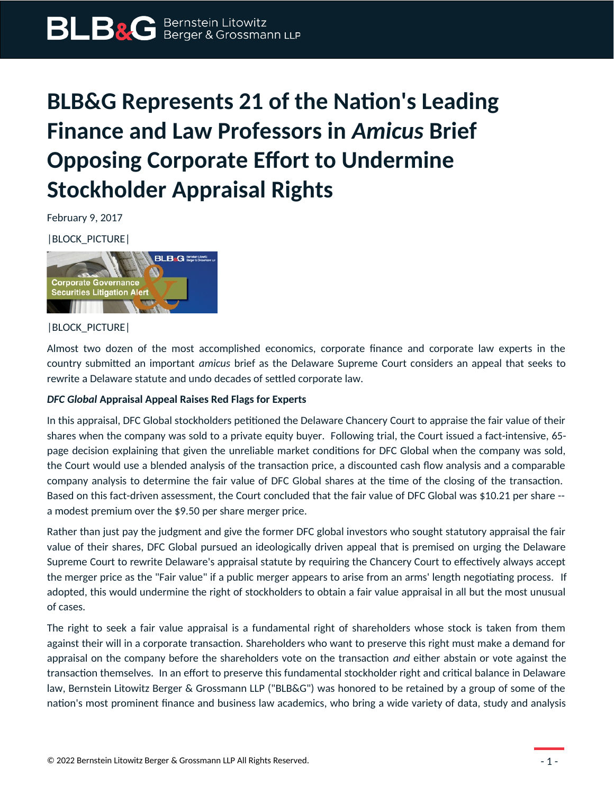## **BLB&G Represents 21 of the Nation's Leading Finance and Law Professors in** *Amicus* **Brief Opposing Corporate Effort to Undermine Stockholder Appraisal Rights**

February 9, 2017

|BLOCK\_PICTURE|



|BLOCK\_PICTURE|

Almost two dozen of the most accomplished economics, corporate finance and corporate law experts in the country submitted an important *amicus* brief as the Delaware Supreme Court considers an appeal that seeks to rewrite a Delaware statute and undo decades of settled corporate law.

## *DFC Global* **Appraisal Appeal Raises Red Flags for Experts**

In this appraisal, DFC Global stockholders petitioned the Delaware Chancery Court to appraise the fair value of their shares when the company was sold to a private equity buyer. Following trial, the Court issued a fact-intensive, 65 page decision explaining that given the unreliable market conditions for DFC Global when the company was sold, the Court would use a blended analysis of the transaction price, a discounted cash flow analysis and a comparable company analysis to determine the fair value of DFC Global shares at the time of the closing of the transaction. Based on this fact-driven assessment, the Court concluded that the fair value of DFC Global was \$10.21 per share - a modest premium over the \$9.50 per share merger price.

Rather than just pay the judgment and give the former DFC global investors who sought statutory appraisal the fair value of their shares, DFC Global pursued an ideologically driven appeal that is premised on urging the Delaware Supreme Court to rewrite Delaware's appraisal statute by requiring the Chancery Court to effectively always accept the merger price as the "Fair value" if a public merger appears to arise from an arms' length negotiating process. If adopted, this would undermine the right of stockholders to obtain a fair value appraisal in all but the most unusual of cases.

The right to seek a fair value appraisal is a fundamental right of shareholders whose stock is taken from them against their will in a corporate transaction. Shareholders who want to preserve this right must make a demand for appraisal on the company before the shareholders vote on the transaction *and* either abstain or vote against the transaction themselves. In an effort to preserve this fundamental stockholder right and critical balance in Delaware law, Bernstein Litowitz Berger & Grossmann LLP ("BLB&G") was honored to be retained by a group of some of the nation's most prominent finance and business law academics, who bring a wide variety of data, study and analysis